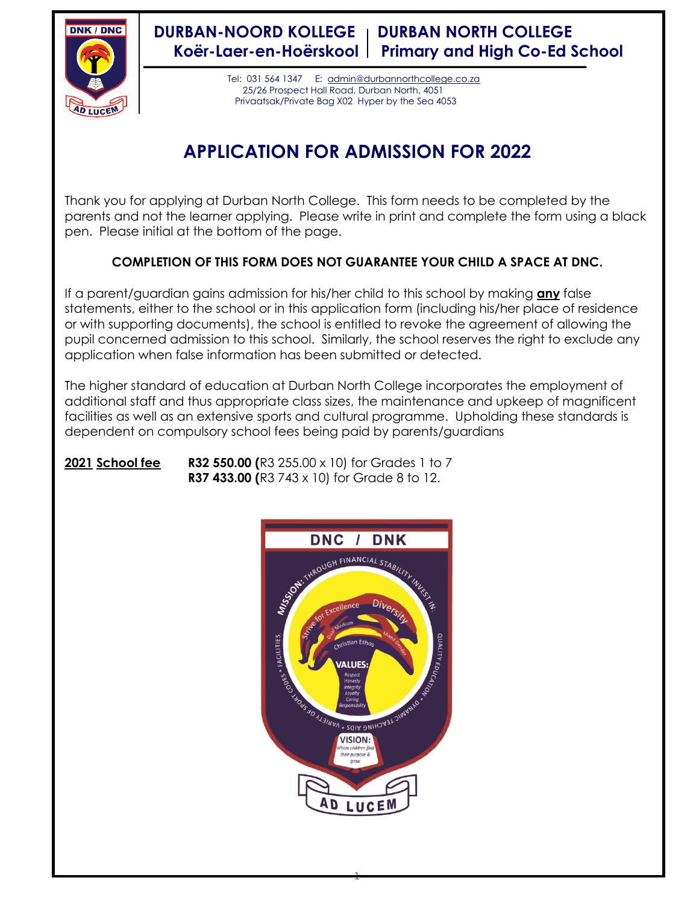

**DURBAN-NOORD KOLLEGE | DURBAN NORTH COLLEGE Koër-Laer-en-Hoërskool Primary and High Co-Ed School**

> Tel: 031 564 1347 E: [admin@durbannorthcollege.co.za](mailto:admin@durbannorthcollege.co.za) 25/26 Prospect Hall Road, Durban North, 4051 Privaatsak/Private Bag X02 Hyper by the Sea 4053

# **APPLICATION FOR ADMISSION FOR 2022**

Thank you for applying at Durban North College. This form needs to be completed by the parents and not the learner applying. Please write in print and complete the form using a black pen. Please initial at the bottom of the page.

## **COMPLETION OF THIS FORM DOES NOT GUARANTEE YOUR CHILD A SPACE AT DNC.**

If a parent/guardian gains admission for his/her child to this school by making **any** false statements, either to the school or in this application form (including his/her place of residence or with supporting documents), the school is entitled to revoke the agreement of allowing the pupil concerned admission to this school. Similarly, the school reserves the right to exclude any application when false information has been submitted or detected.

The higher standard of education at Durban North College incorporates the employment of additional staff and thus appropriate class sizes, the maintenance and upkeep of magnificent facilities as well as an extensive sports and cultural programme. Upholding these standards is dependent on compulsory school fees being paid by parents/guardians



 $-1$ 

## **2021 School fee R32 550.00 (**R3 255.00 x 10) for Grades 1 to 7 **R37 433.00 (**R3 743 x 10) for Grade 8 to 12.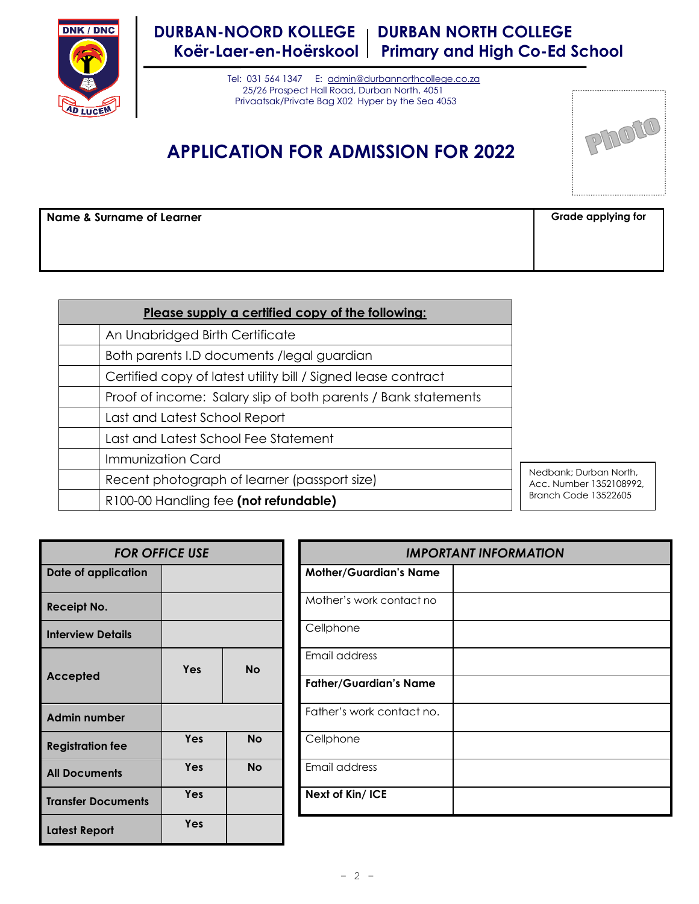

## **DURBAN-NOORD KOLLEGE | DURBAN NORTH COLLEGE Koër-Laer-en-Hoërskool Primary and High Co-Ed School**

 Tel: 031 564 1347 E: [admin@durbannorthcollege.co.za](mailto:admin@durbannorthcollege.co.za) 25/26 Prospect Hall Road, Durban North, 4051 Privaatsak/Private Bag X02 Hyper by the Sea 4053

## **APPLICATION FOR ADMISSION FOR 2022**



**Name & Surname of Learner Grade applying for Grade applying for** 

| Please supply a certified copy of the following:               |
|----------------------------------------------------------------|
| An Unabridged Birth Certificate                                |
| Both parents I.D documents /legal guardian                     |
| Certified copy of latest utility bill / Signed lease contract  |
| Proof of income: Salary slip of both parents / Bank statements |
| Last and Latest School Report                                  |
| Last and Latest School Fee Statement                           |
| Immunization Card                                              |
| Recent photograph of learner (passport size)                   |
| R100-00 Handling fee (not refundable)                          |

edbank; Durban North, cc. Number 1352108992, anch Code 13522605

| <b>FOR OFFICE USE</b>     |                  |           |                               | <b>IMPO</b>                   |
|---------------------------|------------------|-----------|-------------------------------|-------------------------------|
| Date of application       |                  |           | <b>Mother/Guardian's Name</b> |                               |
| <b>Receipt No.</b>        |                  |           |                               | Mother's work contact no      |
| <b>Interview Details</b>  |                  |           |                               | Cellphone                     |
|                           | Yes<br><b>No</b> |           | Email address                 |                               |
| Accepted                  |                  |           |                               | <b>Father/Guardian's Name</b> |
| <b>Admin number</b>       |                  |           |                               | Father's work contact no.     |
| <b>Registration fee</b>   | Yes              | <b>No</b> |                               | Cellphone                     |
| <b>All Documents</b>      | Yes              | <b>No</b> |                               | Email address                 |
| <b>Transfer Documents</b> | Yes              |           |                               | Next of Kin/ ICE              |
| <b>Latest Report</b>      | Yes              |           |                               |                               |

|        | <b>FOR OFFICE USE</b> |           | <b>IMPORTANT INFORMATION</b>  |
|--------|-----------------------|-----------|-------------------------------|
| cation |                       |           | <b>Mother/Guardian's Name</b> |
|        |                       |           | Mother's work contact no      |
| ails   |                       |           | Cellphone                     |
|        | <b>Yes</b>            | <b>No</b> | Email address                 |
|        |                       |           | <b>Father/Guardian's Name</b> |
| er     |                       |           | Father's work contact no.     |
| ee     | <b>Yes</b>            | <b>No</b> | Cellphone                     |
| ts     | <b>Yes</b>            | <b>No</b> | Email address                 |
| ments  | <b>Yes</b>            |           | Next of Kin/ ICE              |
|        |                       |           |                               |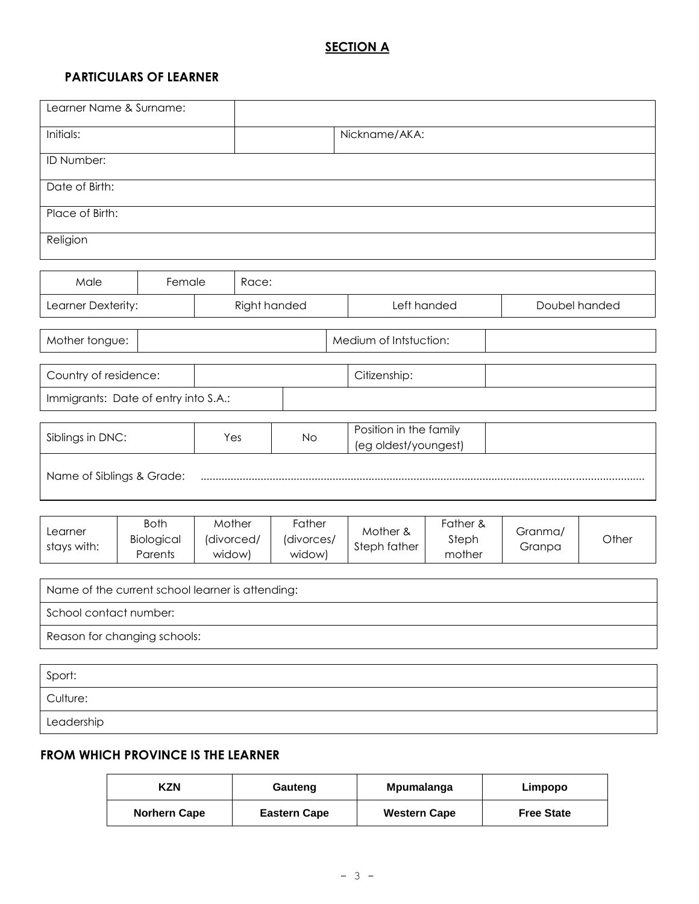## **SECTION A**

## **PARTICULARS OF LEARNER**

| Learner Name & Surname:                          |                                      |                  |              |                                |  |                                                |                             |                   |       |
|--------------------------------------------------|--------------------------------------|------------------|--------------|--------------------------------|--|------------------------------------------------|-----------------------------|-------------------|-------|
| Initials:                                        |                                      |                  |              |                                |  | Nickname/AKA:                                  |                             |                   |       |
| ID Number:                                       |                                      |                  |              |                                |  |                                                |                             |                   |       |
| Date of Birth:                                   |                                      |                  |              |                                |  |                                                |                             |                   |       |
| Place of Birth:                                  |                                      |                  |              |                                |  |                                                |                             |                   |       |
| Religion                                         |                                      |                  |              |                                |  |                                                |                             |                   |       |
|                                                  |                                      |                  |              |                                |  |                                                |                             |                   |       |
| Male                                             | Female                               |                  | Race:        |                                |  |                                                |                             |                   |       |
| Learner Dexterity:                               |                                      |                  | Right handed |                                |  | Left handed                                    |                             | Doubel handed     |       |
| Mother tongue:                                   |                                      |                  |              |                                |  | Medium of Intstuction:                         |                             |                   |       |
| Country of residence:                            |                                      |                  |              |                                |  | Citizenship:                                   |                             |                   |       |
| Immigrants: Date of entry into S.A.:             |                                      |                  |              |                                |  |                                                |                             |                   |       |
|                                                  |                                      |                  |              |                                |  |                                                |                             |                   |       |
| Siblings in DNC:                                 |                                      |                  | Yes<br>No    |                                |  | Position in the family<br>(eg oldest/youngest) |                             |                   |       |
| Name of Siblings & Grade:                        |                                      |                  |              |                                |  |                                                |                             |                   |       |
|                                                  |                                      |                  |              |                                |  |                                                |                             |                   |       |
| Learner<br>stays with:                           | <b>Both</b><br>Biological<br>Parents | Mother<br>widow) | (divorced/   | Father<br>(divorces/<br>widow) |  | Mother &<br>Steph father                       | Father &<br>Steph<br>mother | Granma/<br>Granpa | Other |
| Name of the current school learner is attending: |                                      |                  |              |                                |  |                                                |                             |                   |       |
|                                                  |                                      |                  |              |                                |  |                                                |                             |                   |       |
| School contact number:                           |                                      |                  |              |                                |  |                                                |                             |                   |       |
|                                                  | Reason for changing schools:         |                  |              |                                |  |                                                |                             |                   |       |
| Sport:                                           |                                      |                  |              |                                |  |                                                |                             |                   |       |
| Culture:                                         |                                      |                  |              |                                |  |                                                |                             |                   |       |
| Leadership                                       |                                      |                  |              |                                |  |                                                |                             |                   |       |

## **FROM WHICH PROVINCE IS THE LEARNER**

| KZN                 | Gauteng             | Mpumalanga          | Limpopo           |
|---------------------|---------------------|---------------------|-------------------|
| <b>Norhern Cape</b> | <b>Eastern Cape</b> | <b>Western Cape</b> | <b>Free State</b> |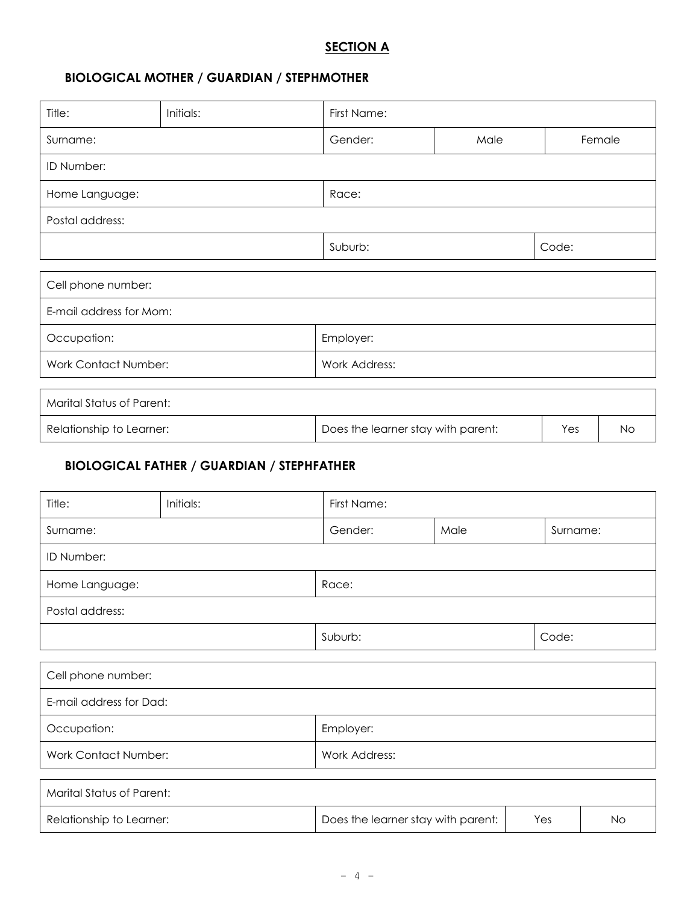## **SECTION A**

## **BIOLOGICAL MOTHER / GUARDIAN / STEPHMOTHER**

| Title:                           | Initials:                                         | First Name:                        |      |          |        |  |  |
|----------------------------------|---------------------------------------------------|------------------------------------|------|----------|--------|--|--|
| Surname:                         |                                                   | Gender:                            | Male |          | Female |  |  |
| ID Number:                       |                                                   |                                    |      |          |        |  |  |
| Home Language:                   |                                                   | Race:                              |      |          |        |  |  |
| Postal address:                  |                                                   |                                    |      |          |        |  |  |
|                                  |                                                   | Suburb:                            |      | Code:    |        |  |  |
| Cell phone number:               |                                                   |                                    |      |          |        |  |  |
|                                  | E-mail address for Mom:                           |                                    |      |          |        |  |  |
| Occupation:                      |                                                   | Employer:                          |      |          |        |  |  |
|                                  | <b>Work Contact Number:</b><br>Work Address:      |                                    |      |          |        |  |  |
| <b>Marital Status of Parent:</b> |                                                   |                                    |      |          |        |  |  |
| Relationship to Learner:         |                                                   | Does the learner stay with parent: |      | Yes      | No     |  |  |
|                                  | <b>BIOLOGICAL FATHER / GUARDIAN / STEPHFATHER</b> |                                    |      |          |        |  |  |
| Title:                           | Initials:                                         | First Name:                        |      |          |        |  |  |
| Surname:                         |                                                   | Gender:                            | Male | Surname: |        |  |  |
| ID Number:                       |                                                   |                                    |      |          |        |  |  |
| Home Language:                   |                                                   | Race:                              |      |          |        |  |  |
| Postal address:                  |                                                   |                                    |      |          |        |  |  |
|                                  |                                                   | Suburb:                            |      | Code:    |        |  |  |
|                                  |                                                   |                                    |      |          |        |  |  |

| Cell phone number:      |               |
|-------------------------|---------------|
| E-mail address for Dad: |               |
| Occupation:             | Employer:     |
| Work Contact Number:    | Work Address: |

| Marital Status of Parent: |                                    |     |    |
|---------------------------|------------------------------------|-----|----|
| Relationship to Learner:  | Does the learner stay with parent: | Yes | No |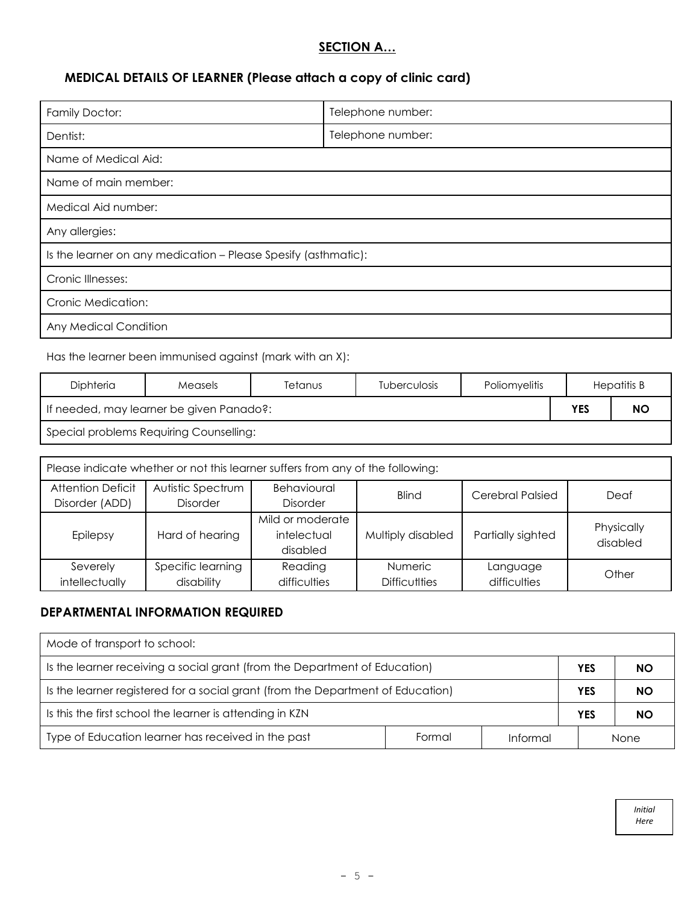#### **SECTION A…**

## **MEDICAL DETAILS OF LEARNER (Please attach a copy of clinic card)**

| Family Doctor:                                                 | Telephone number: |  |  |
|----------------------------------------------------------------|-------------------|--|--|
| Dentist:                                                       | Telephone number: |  |  |
| Name of Medical Aid:                                           |                   |  |  |
| Name of main member:                                           |                   |  |  |
| Medical Aid number:                                            |                   |  |  |
| Any allergies:                                                 |                   |  |  |
| Is the learner on any medication - Please Spesify (asthmatic): |                   |  |  |
| Cronic Illnesses:                                              |                   |  |  |
| Cronic Medication:                                             |                   |  |  |
| Any Medical Condition                                          |                   |  |  |
|                                                                |                   |  |  |

#### Has the learner been immunised against (mark with an X):

| Diphteria | <b>Measels</b>                           | Tetanus | <b>Tuberculosis</b> | <b>Poliomvelitis</b> |            | Hepatitis B |
|-----------|------------------------------------------|---------|---------------------|----------------------|------------|-------------|
|           | If needed, may learner be given Panado?: |         |                     |                      | <b>YES</b> | <b>NO</b>   |
|           | Special problems Requiring Counselling:  |         |                     |                      |            |             |

| Please indicate whether or not this learner suffers from any of the following: |                                      |                                             |                                        |                          |                        |  |  |
|--------------------------------------------------------------------------------|--------------------------------------|---------------------------------------------|----------------------------------------|--------------------------|------------------------|--|--|
| <b>Attention Deficit</b><br>Disorder (ADD)                                     | Autistic Spectrum<br><b>Disorder</b> | Behavioural<br><b>Disorder</b>              | <b>Blind</b>                           | <b>Cerebral Palsied</b>  | Deaf                   |  |  |
| Epilepsy                                                                       | Hard of hearing                      | Mild or moderate<br>intelectual<br>disabled | Multiply disabled                      | Partially sighted        | Physically<br>disabled |  |  |
| Severely<br>intellectually                                                     | Specific learning<br>disability      | Reading<br>difficulties                     | <b>Numeric</b><br><b>Difficutities</b> | Language<br>difficulties | Other                  |  |  |

#### **DEPARTMENTAL INFORMATION REQUIRED**

| Mode of transport to school:                                                    |        |            |     |      |
|---------------------------------------------------------------------------------|--------|------------|-----|------|
| Is the learner receiving a social grant (from the Department of Education)      |        | <b>YES</b> | NO. |      |
| Is the learner registered for a social grant (from the Department of Education) |        | YES        | NO. |      |
| Is this the first school the learner is attending in KZN.                       |        | <b>YES</b> | NO. |      |
| Type of Education learner has received in the past                              | Formal | Informal   |     | None |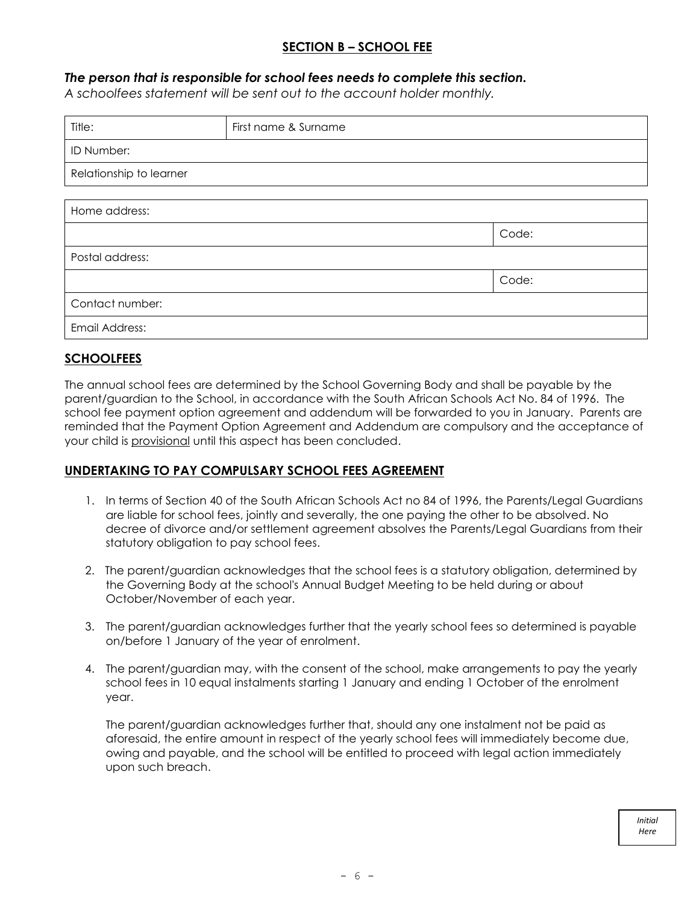## **SECTION B – SCHOOL FEE**

#### *The person that is responsible for school fees needs to complete this section.*

*A schoolfees statement will be sent out to the account holder monthly.*

| Title:                  | First name & Surname |       |
|-------------------------|----------------------|-------|
| ID Number:              |                      |       |
| Relationship to learner |                      |       |
|                         |                      |       |
| Home address:           |                      |       |
|                         |                      | Code: |
| Postal address:         |                      |       |
|                         |                      | Code: |
| Contact number:         |                      |       |
| Email Address:          |                      |       |

#### **SCHOOLFEES**

The annual school fees are determined by the School Governing Body and shall be payable by the parent/guardian to the School, in accordance with the South African Schools Act No. 84 of 1996. The school fee payment option agreement and addendum will be forwarded to you in January. Parents are reminded that the Payment Option Agreement and Addendum are compulsory and the acceptance of your child is provisional until this aspect has been concluded.

#### **UNDERTAKING TO PAY COMPULSARY SCHOOL FEES AGREEMENT**

- 1. In terms of Section 40 of the South African Schools Act no 84 of 1996, the Parents/Legal Guardians are liable for school fees, jointly and severally, the one paying the other to be absolved. No decree of divorce and/or settlement agreement absolves the Parents/Legal Guardians from their statutory obligation to pay school fees.
- 2. The parent/guardian acknowledges that the school fees is a statutory obligation, determined by the Governing Body at the school's Annual Budget Meeting to be held during or about October/November of each year.
- 3. The parent/guardian acknowledges further that the yearly school fees so determined is payable on/before 1 January of the year of enrolment.
- 4. The parent/guardian may, with the consent of the school, make arrangements to pay the yearly school fees in 10 equal instalments starting 1 January and ending 1 October of the enrolment year.

The parent/guardian acknowledges further that, should any one instalment not be paid as aforesaid, the entire amount in respect of the yearly school fees will immediately become due, owing and payable, and the school will be entitled to proceed with legal action immediately upon such breach.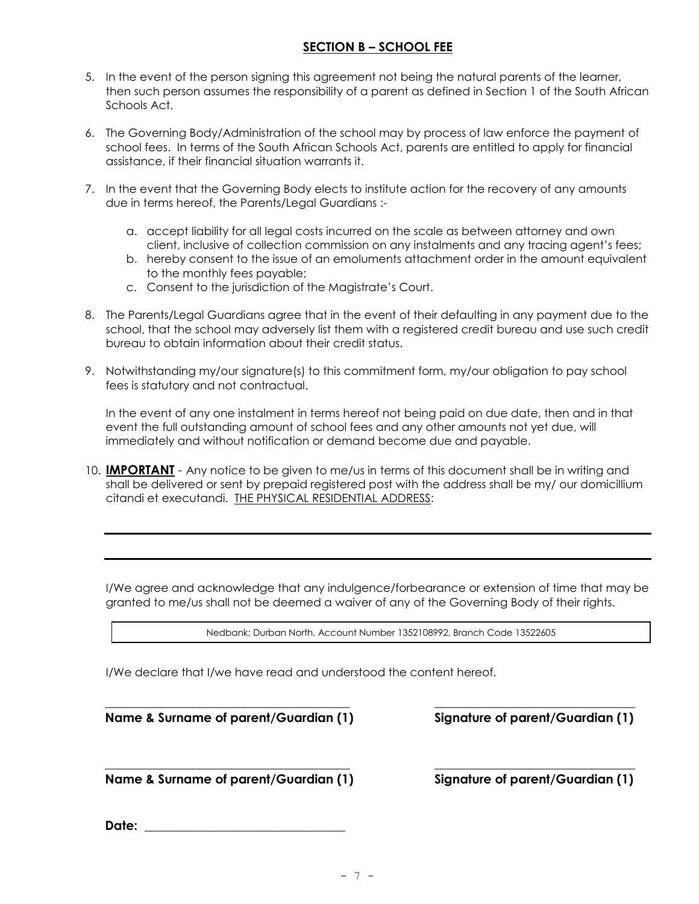#### **SECTION B – SCHOOL FEE**

- 5. In the event of the person signing this agreement not being the natural parents of the learner, then such person assumes the responsibility of a parent as defined in Section 1 of the South African Schools Act.
- 6. The Governing Body/Administration of the school may by process of law enforce the payment of school fees. In terms of the South African Schools Act, parents are entitled to apply for financial assistance, if their financial situation warrants it.
- 7. In the event that the Governing Body elects to institute action for the recovery of any amounts due in terms hereof, the Parents/Legal Guardians :
	- a. accept liability for all legal costs incurred on the scale as between attorney and own client, inclusive of collection commission on any instalments and any tracing agent's fees;
	- b. hereby consent to the issue of an emoluments attachment order in the amount equivalent to the monthly fees payable;
	- c. Consent to the jurisdiction of the Magistrate's Court.
- 8. The Parents/Legal Guardians agree that in the event of their defaulting in any payment due to the school, that the school may adversely list them with a registered credit bureau and use such credit bureau to obtain information about their credit status.
- 9. Notwithstanding my/our signature(s) to this commitment form, my/our obligation to pay school fees is statutory and not contractual.

In the event of any one instalment in terms hereof not being paid on due date, then and in that event the full outstanding amount of school fees and any other amounts not yet due, will immediately and without notification or demand become due and payable.

10. **IMPORTANT** - Any notice to be given to me/us in terms of this document shall be in writing and shall be delivered or sent by prepaid registered post with the address shall be my/ our domicillium citandi et executandi. THE PHYSICAL RESIDENTIAL ADDRESS:

I/We agree and acknowledge that any indulgence/forbearance or extension of time that may be granted to me/us shall not be deemed a waiver of any of the Governing Body of their rights.

Nedbank; Durban North, Account Number 1352108992, Branch Code 13522605

\_\_\_\_\_\_\_\_\_\_\_\_\_\_\_\_\_\_\_\_\_\_\_\_\_\_\_\_\_\_\_\_\_\_\_\_\_\_\_ \_\_\_\_\_\_\_\_\_\_\_\_\_\_\_\_\_\_\_\_\_\_\_\_\_\_\_\_\_\_\_\_

I/We declare that I/we have read and understood the content hereof.

**Name & Surname of parent/Guardian (1) Signature of parent/Guardian (1)**

**Name & Surname of parent/Guardian (1) Signature of parent/Guardian (1)**

\_\_\_\_\_\_\_\_\_\_\_\_\_\_\_\_\_\_\_\_\_\_\_\_\_\_\_\_\_\_\_\_\_\_\_\_\_\_\_ \_\_\_\_\_\_\_\_\_\_\_\_\_\_\_\_\_\_\_\_\_\_\_\_\_\_\_\_\_\_\_\_

**Date: \_\_\_\_\_\_\_\_\_\_\_\_\_\_\_\_\_\_\_\_\_\_\_\_\_\_\_\_\_\_\_\_**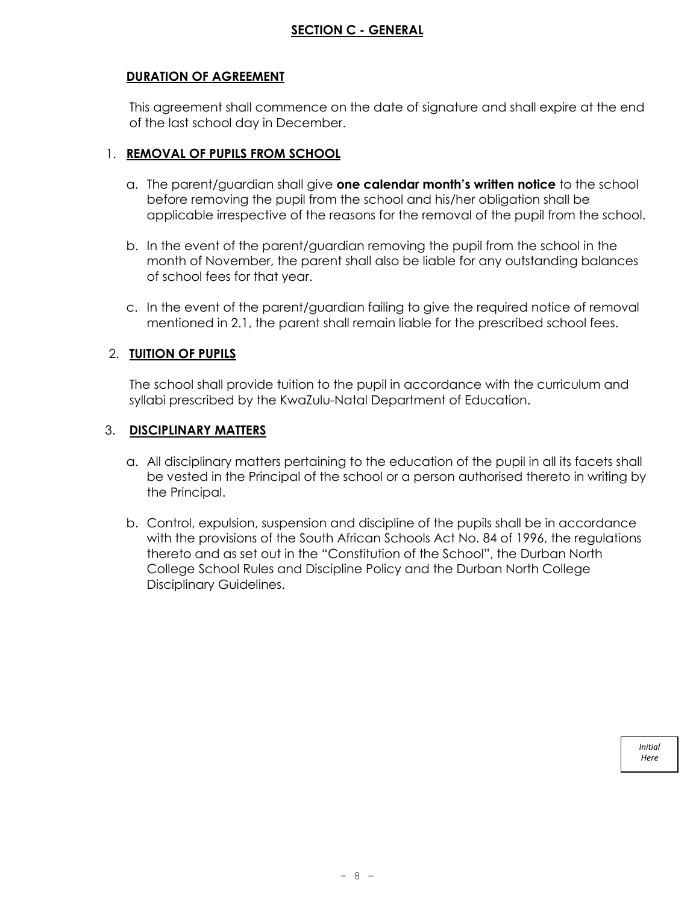#### **DURATION OF AGREEMENT**

This agreement shall commence on the date of signature and shall expire at the end of the last school day in December.

#### 1. **REMOVAL OF PUPILS FROM SCHOOL**

- a. The parent/guardian shall give **one calendar month's written notice** to the school before removing the pupil from the school and his/her obligation shall be applicable irrespective of the reasons for the removal of the pupil from the school.
- b. In the event of the parent/guardian removing the pupil from the school in the month of November, the parent shall also be liable for any outstanding balances of school fees for that year.
- c. In the event of the parent/guardian failing to give the required notice of removal mentioned in 2.1, the parent shall remain liable for the prescribed school fees.

#### 2. **TUITION OF PUPILS**

The school shall provide tuition to the pupil in accordance with the curriculum and syllabi prescribed by the KwaZulu-Natal Department of Education.

#### 3. **DISCIPLINARY MATTERS**

- a. All disciplinary matters pertaining to the education of the pupil in all its facets shall be vested in the Principal of the school or a person authorised thereto in writing by the Principal.
- b. Control, expulsion, suspension and discipline of the pupils shall be in accordance with the provisions of the South African Schools Act No. 84 of 1996, the regulations thereto and as set out in the "Constitution of the School", the Durban North College School Rules and Discipline Policy and the Durban North College Disciplinary Guidelines.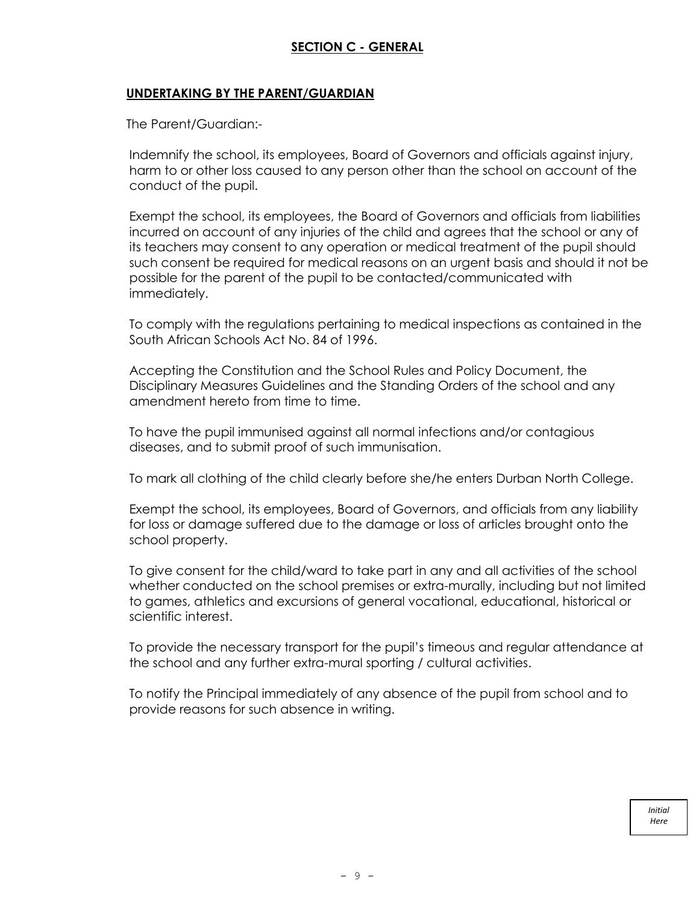#### **UNDERTAKING BY THE PARENT/GUARDIAN**

The Parent/Guardian:-

Indemnify the school, its employees, Board of Governors and officials against injury, harm to or other loss caused to any person other than the school on account of the conduct of the pupil.

Exempt the school, its employees, the Board of Governors and officials from liabilities incurred on account of any injuries of the child and agrees that the school or any of its teachers may consent to any operation or medical treatment of the pupil should such consent be required for medical reasons on an urgent basis and should it not be possible for the parent of the pupil to be contacted/communicated with immediately.

To comply with the regulations pertaining to medical inspections as contained in the South African Schools Act No. 84 of 1996.

Accepting the Constitution and the School Rules and Policy Document, the Disciplinary Measures Guidelines and the Standing Orders of the school and any amendment hereto from time to time.

To have the pupil immunised against all normal infections and/or contagious diseases, and to submit proof of such immunisation.

To mark all clothing of the child clearly before she/he enters Durban North College.

Exempt the school, its employees, Board of Governors, and officials from any liability for loss or damage suffered due to the damage or loss of articles brought onto the school property.

To give consent for the child/ward to take part in any and all activities of the school whether conducted on the school premises or extra-murally, including but not limited to games, athletics and excursions of general vocational, educational, historical or scientific interest.

To provide the necessary transport for the pupil's timeous and regular attendance at the school and any further extra-mural sporting / cultural activities.

To notify the Principal immediately of any absence of the pupil from school and to provide reasons for such absence in writing.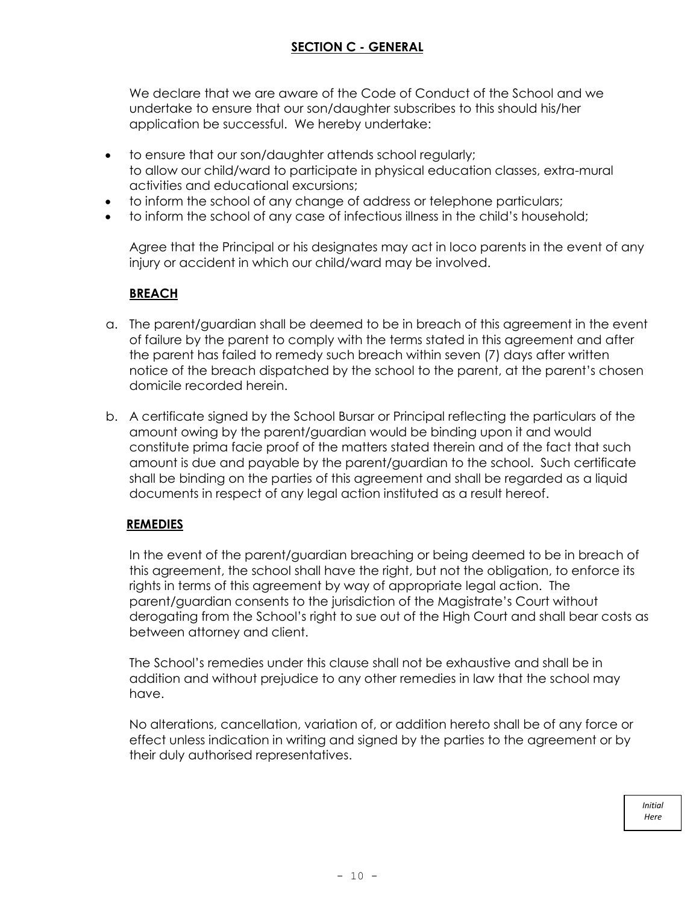We declare that we are aware of the Code of Conduct of the School and we undertake to ensure that our son/daughter subscribes to this should his/her application be successful. We hereby undertake:

- to ensure that our son/daughter attends school regularly; to allow our child/ward to participate in physical education classes, extra-mural activities and educational excursions;
- to inform the school of any change of address or telephone particulars;
- to inform the school of any case of infectious illness in the child's household;

Agree that the Principal or his designates may act in loco parents in the event of any injury or accident in which our child/ward may be involved.

#### **BREACH**

- a. The parent/guardian shall be deemed to be in breach of this agreement in the event of failure by the parent to comply with the terms stated in this agreement and after the parent has failed to remedy such breach within seven (7) days after written notice of the breach dispatched by the school to the parent, at the parent's chosen domicile recorded herein.
- b. A certificate signed by the School Bursar or Principal reflecting the particulars of the amount owing by the parent/guardian would be binding upon it and would constitute prima facie proof of the matters stated therein and of the fact that such amount is due and payable by the parent/guardian to the school. Such certificate shall be binding on the parties of this agreement and shall be regarded as a liquid documents in respect of any legal action instituted as a result hereof.

#### **REMEDIES**

In the event of the parent/guardian breaching or being deemed to be in breach of this agreement, the school shall have the right, but not the obligation, to enforce its rights in terms of this agreement by way of appropriate legal action. The parent/guardian consents to the jurisdiction of the Magistrate's Court without derogating from the School's right to sue out of the High Court and shall bear costs as between attorney and client.

The School's remedies under this clause shall not be exhaustive and shall be in addition and without prejudice to any other remedies in law that the school may have.

No alterations, cancellation, variation of, or addition hereto shall be of any force or effect unless indication in writing and signed by the parties to the agreement or by their duly authorised representatives.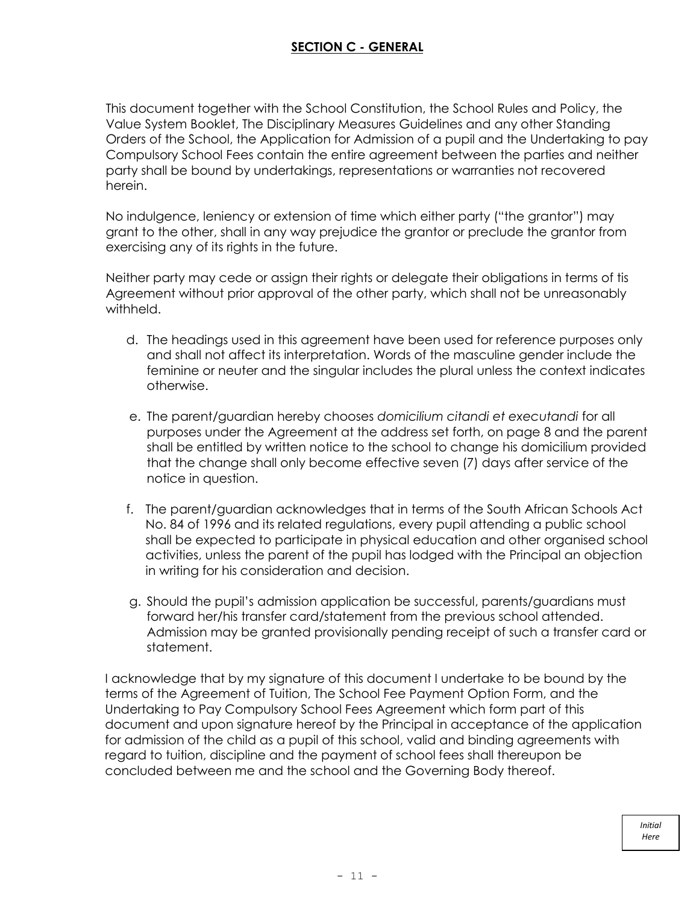This document together with the School Constitution, the School Rules and Policy, the Value System Booklet, The Disciplinary Measures Guidelines and any other Standing Orders of the School, the Application for Admission of a pupil and the Undertaking to pay Compulsory School Fees contain the entire agreement between the parties and neither party shall be bound by undertakings, representations or warranties not recovered herein.

No indulgence, leniency or extension of time which either party ("the grantor") may grant to the other, shall in any way prejudice the grantor or preclude the grantor from exercising any of its rights in the future.

Neither party may cede or assign their rights or delegate their obligations in terms of tis Agreement without prior approval of the other party, which shall not be unreasonably withheld.

- d. The headings used in this agreement have been used for reference purposes only and shall not affect its interpretation. Words of the masculine gender include the feminine or neuter and the singular includes the plural unless the context indicates otherwise.
- e. The parent/guardian hereby chooses *domicilium citandi et executandi* for all purposes under the Agreement at the address set forth, on page 8 and the parent shall be entitled by written notice to the school to change his domicilium provided that the change shall only become effective seven (7) days after service of the notice in question.
- f. The parent/guardian acknowledges that in terms of the South African Schools Act No. 84 of 1996 and its related regulations, every pupil attending a public school shall be expected to participate in physical education and other organised school activities, unless the parent of the pupil has lodged with the Principal an objection in writing for his consideration and decision.
- g. Should the pupil's admission application be successful, parents/guardians must forward her/his transfer card/statement from the previous school attended. Admission may be granted provisionally pending receipt of such a transfer card or statement.

I acknowledge that by my signature of this document I undertake to be bound by the terms of the Agreement of Tuition, The School Fee Payment Option Form, and the Undertaking to Pay Compulsory School Fees Agreement which form part of this document and upon signature hereof by the Principal in acceptance of the application for admission of the child as a pupil of this school, valid and binding agreements with regard to tuition, discipline and the payment of school fees shall thereupon be concluded between me and the school and the Governing Body thereof.